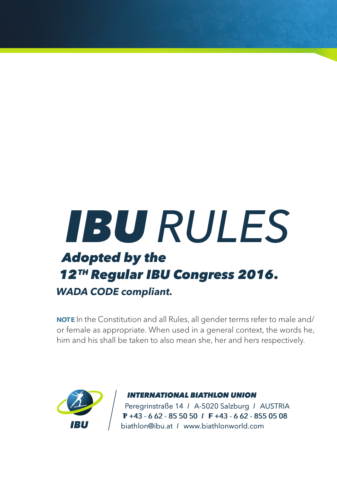## T - 6 62 - 50 50 +43 62 - 855 08*IBU RULES Adopted by the 12TH Regular IBU Congress 2016. WADA CODE compliant.*

 **NOT E** In the Constitution and all Rules, all gender terms refer to male and/ or female as appropriate. When used in a general context, the words he, him and his shall be taken to also mean she, her and hers respectively.



#### *INTERNATIONAL BIATHLON UNION*

 Peregrinstraße 14 I A-5020 Salzburg I AUSTRIA P +43 - 6 62 - 85 50 50 I F +43 - 6 62 - 855 05 08 biathlon@ibu.at I www.biathlonworld.com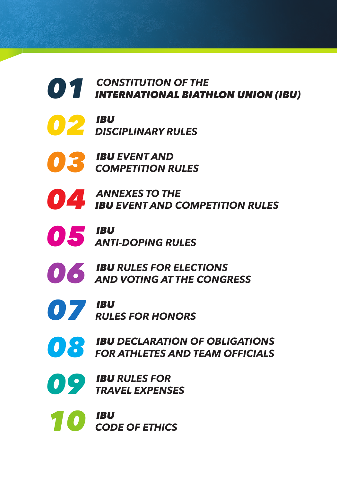# *CONSTITUTION OF THE INTERNATIONAL BIATHLON UNION (IBU)*



*IBU DISCIPLINARY RULES*

*IBU EVENT AND COMPETITION RULES*

*ANNEXES TO THE IBU EVENT AND COMPETITION RULES*



*IBU ANTI-DOPING RULES*



*IBU RULES FOR ELECTIONS AND VOTING AT THE CONGRESS*



*IBU 07 RULES FOR HONORS*

*IBU DECLARATION OF OBLIGATIONS FOR ATHLETES AND TEAM OFFICIALS*

*IBU RULES FOR TRAVEL EXPENSES*

*IBU 10 CODE OF ETHICS*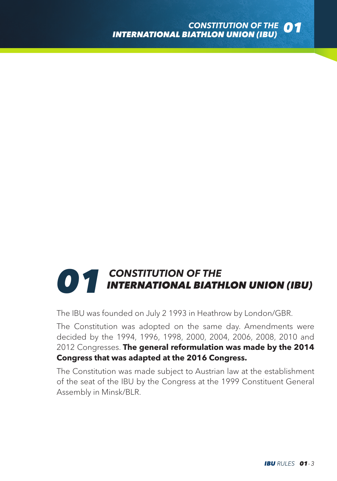# **01** CONSTITUTION OF THE *D1* INTERNATIONAL BIATHLON UNION (IBU)

The IBU was founded on July 2 1993 in Heathrow by London/GBR.

The Constitution was adopted on the same day. Amendments were decided by the 1994, 1996, 1998, 2000, 2004, 2006, 2008, 2010 and 2012 Congresses. **The general reformulation was made by the 2014 Congress that was adapted at the 2016 Congress.**

The Constitution was made subject to Austrian law at the establishment of the seat of the IBU by the Congress at the 1999 Constituent General Assembly in Minsk/BLR.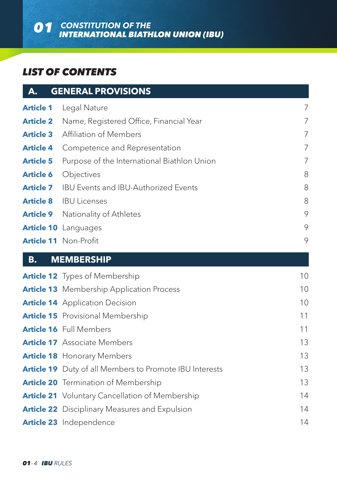#### *LIST OF CONTENTS*

| А.               | <b>GENERAL PROVISIONS</b>                               |    |
|------------------|---------------------------------------------------------|----|
| <b>Article 1</b> | Legal Nature                                            | 7  |
| <b>Article 2</b> | Name, Registered Office, Financial Year                 | 7  |
| <b>Article 3</b> | Affiliation of Members                                  | 7  |
| <b>Article 4</b> | Competence and Representation                           | 7  |
| <b>Article 5</b> | Purpose of the International Biathlon Union             | 7  |
| <b>Article 6</b> | Objectives                                              | 8  |
| <b>Article 7</b> | <b>IBU Events and IBU-Authorized Events</b>             | 8  |
| <b>Article 8</b> | <b>IBU Licenses</b>                                     | 8  |
| <b>Article 9</b> | Nationality of Athletes                                 | 9  |
|                  | <b>Article 10</b> Languages                             | 9  |
|                  | Article 11 Non-Profit                                   | 9  |
| <b>B.</b>        | <b>MEMBERSHIP</b>                                       |    |
|                  | <b>Article 12</b> Types of Membership                   | 10 |
|                  | <b>Article 13</b> Membership Application Process        | 10 |
|                  | <b>Article 14</b> Application Decision                  | 10 |
|                  | <b>Article 15</b> Provisional Membership                | 11 |
|                  | Article 16 Full Members                                 | 11 |
|                  | <b>Article 17</b> Associate Members                     | 13 |
|                  | <b>Article 18</b> Honorary Members                      | 13 |
|                  | Article 19 Duty of all Members to Promote IBU Interests | 13 |
|                  | <b>Article 20</b> Termination of Membership             | 13 |
|                  | <b>Article 21</b> Voluntary Cancellation of Membership  | 14 |
|                  | <b>Article 22</b> Disciplinary Measures and Expulsion   | 14 |
|                  | Article 23 Independence                                 | 14 |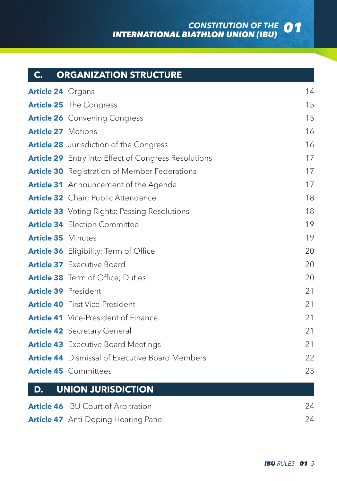### *CONSTITUTION OF THE INTERNATIONAL BIATHLON UNION (IBU) 01*

|                             | <b>C. ORGANIZATION STRUCTURE</b>                            |    |
|-----------------------------|-------------------------------------------------------------|----|
| <b>Article 24</b> Organs    |                                                             | 14 |
|                             | <b>Article 25</b> The Congress                              | 15 |
|                             | <b>Article 26</b> Convening Congress                        | 15 |
| <b>Article 27 Motions</b>   |                                                             | 16 |
|                             | <b>Article 28</b> Jurisdiction of the Congress              | 16 |
|                             | <b>Article 29</b> Entry into Effect of Congress Resolutions | 17 |
|                             | <b>Article 30</b> Registration of Member Federations        | 17 |
|                             | <b>Article 31</b> Announcement of the Agenda                | 17 |
|                             | Article 32 Chair; Public Attendance                         | 18 |
|                             | <b>Article 33</b> Voting Rights; Passing Resolutions        | 18 |
|                             | <b>Article 34</b> Election Committee                        | 19 |
| <b>Article 35 Minutes</b>   |                                                             | 19 |
|                             | <b>Article 36</b> Eligibility; Term of Office               | 20 |
|                             | <b>Article 37</b> Executive Board                           | 20 |
|                             | Article 38 Term of Office; Duties                           | 20 |
| <b>Article 39 President</b> |                                                             | 21 |
|                             | Article 40 First Vice-President                             | 21 |
|                             | <b>Article 41</b> Vice-President of Finance                 | 21 |
|                             | <b>Article 42</b> Secretary General                         | 21 |
|                             | <b>Article 43</b> Executive Board Meetings                  | 21 |
|                             | <b>Article 44</b> Dismissal of Executive Board Members      | 22 |
|                             | <b>Article 45</b> Committees                                | 23 |

#### **D. UNION JURISDICTION**

| <b>Article 46</b> IBU Court of Arbitration  | 24 |
|---------------------------------------------|----|
| <b>Article 47</b> Anti-Doping Hearing Panel | 24 |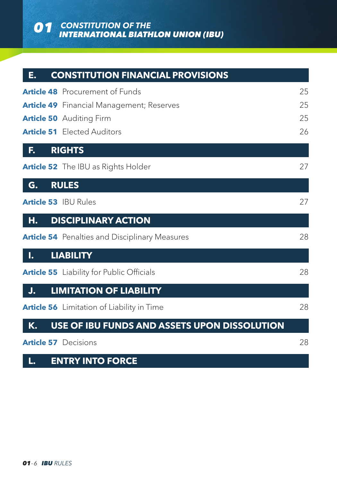*CONSTITUTION OF THE 01 INTERNATIONAL BIATHLON UNION (IBU)*

| E. | <b>CONSTITUTION FINANCIAL PROVISIONS</b>              |    |
|----|-------------------------------------------------------|----|
|    | <b>Article 48</b> Procurement of Funds                | 25 |
|    | <b>Article 49</b> Financial Management; Reserves      | 25 |
|    | <b>Article 50</b> Auditing Firm                       | 25 |
|    | <b>Article 51</b> Elected Auditors                    | 26 |
| F. | <b>RIGHTS</b>                                         |    |
|    | Article 52 The IBU as Rights Holder                   | 27 |
| G. | <b>RULES</b>                                          |    |
|    | <b>Article 53 IBU Rules</b>                           | 27 |
| н. | <b>DISCIPLINARY ACTION</b>                            |    |
|    | <b>Article 54</b> Penalties and Disciplinary Measures | 28 |
| ı. | <b>LIABILITY</b>                                      |    |
|    | <b>Article 55</b> Liability for Public Officials      | 28 |
| J. | <b>LIMITATION OF LIABILITY</b>                        |    |
|    | <b>Article 56</b> Limitation of Liability in Time     | 28 |
| К. | USE OF IBU FUNDS AND ASSETS UPON DISSOLUTION          |    |
|    | <b>Article 57</b> Decisions                           | 28 |

#### **L. ENTRY INTO FORCE**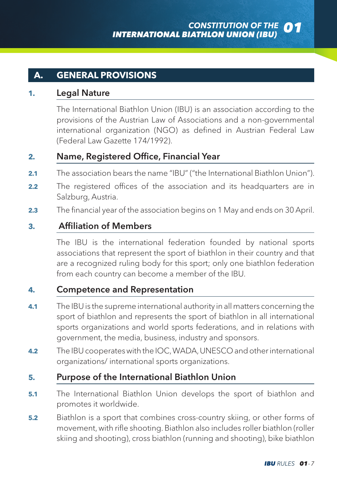#### **A. GENERAL PROVISIONS**

#### **1.** Legal Nature

The International Biathlon Union (IBU) is an association according to the provisions of the Austrian Law of Associations and a non-governmental international organization (NGO) as defined in Austrian Federal Law (Federal Law Gazette 174/1992).

#### **2.** Name, Registered Office, Financial Year

- **2.1** The association bears the name "IBU" ("the International Biathlon Union").
- **2.2** The registered offices of the association and its headquarters are in Salzburg, Austria.
- **2.3** The financial year of the association begins on 1 May and ends on 30 April.

#### **3.** Affiliation of Members

The IBU is the international federation founded by national sports associations that represent the sport of biathlon in their country and that are a recognized ruling body for this sport; only one biathlon federation from each country can become a member of the IBU.

#### **4.** Competence and Representation

- **4.1** The IBU is the supreme international authority in all matters concerning the sport of biathlon and represents the sport of biathlon in all international sports organizations and world sports federations, and in relations with government, the media, business, industry and sponsors.
- **4.2** The IBU cooperates with the IOC, WADA, UNESCO and other international organizations/ international sports organizations.

#### **5.** Purpose of the International Biathlon Union

- **5.1** The International Biathlon Union develops the sport of biathlon and promotes it worldwide.
- **5.2** Biathlon is a sport that combines cross-country skiing, or other forms of movement, with rifle shooting. Biathlon also includes roller biathlon (roller skiing and shooting), cross biathlon (running and shooting), bike biathlon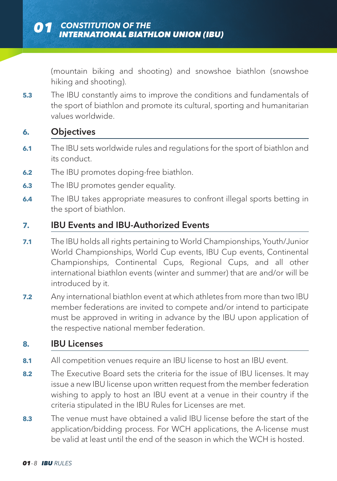(mountain biking and shooting) and snowshoe biathlon (snowshoe hiking and shooting).

**5.3** The IBU constantly aims to improve the conditions and fundamentals of the sport of biathlon and promote its cultural, sporting and humanitarian values worldwide.

#### **6.** Objectives

- **6.1** The IBU sets worldwide rules and regulations for the sport of biathlon and its conduct.
- **6.2** The IBU promotes doping-free biathlon.
- **6.3** The IBU promotes gender equality.
- **6.4** The IBU takes appropriate measures to confront illegal sports betting in the sport of biathlon.

#### **7.** IBU Events and IBU-Authorized Events

- **7.1** The IBU holds all rights pertaining to World Championships, Youth/Junior World Championships, World Cup events, IBU Cup events, Continental Championships, Continental Cups, Regional Cups, and all other international biathlon events (winter and summer) that are and/or will be introduced by it.
- **7.2** Any international biathlon event at which athletes from more than two IBU member federations are invited to compete and/or intend to participate must be approved in writing in advance by the IBU upon application of the respective national member federation.

#### **8.** IBU Licenses

- **8.1** All competition venues require an IBU license to host an IBU event.
- **8.2** The Executive Board sets the criteria for the issue of IBU licenses. It may issue a new IBU license upon written request from the member federation wishing to apply to host an IBU event at a venue in their country if the criteria stipulated in the IBU Rules for Licenses are met.
- **8.3** The venue must have obtained a valid IBU license before the start of the application/bidding process. For WCH applications, the A-license must be valid at least until the end of the season in which the WCH is hosted.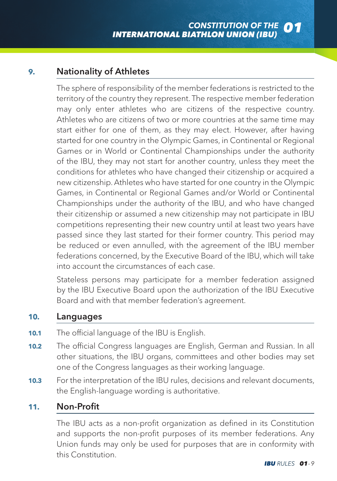#### **9.** Nationality of Athletes

The sphere of responsibility of the member federations is restricted to the territory of the country they represent. The respective member federation may only enter athletes who are citizens of the respective country. Athletes who are citizens of two or more countries at the same time may start either for one of them, as they may elect. However, after having started for one country in the Olympic Games, in Continental or Regional Games or in World or Continental Championships under the authority of the IBU, they may not start for another country, unless they meet the conditions for athletes who have changed their citizenship or acquired a new citizenship. Athletes who have started for one country in the Olympic Games, in Continental or Regional Games and/or World or Continental Championships under the authority of the IBU, and who have changed their citizenship or assumed a new citizenship may not participate in IBU competitions representing their new country until at least two years have passed since they last started for their former country. This period may be reduced or even annulled, with the agreement of the IBU member federations concerned, by the Executive Board of the IBU, which will take into account the circumstances of each case.

Stateless persons may participate for a member federation assigned by the IBU Executive Board upon the authorization of the IBU Executive Board and with that member federation's agreement.

#### **10.** Languages

- **10.1** The official language of the IBU is English.
- **10.2** The official Congress languages are English, German and Russian. In all other situations, the IBU organs, committees and other bodies may set one of the Congress languages as their working language.
- **10.3** For the interpretation of the IBU rules, decisions and relevant documents, the English-language wording is authoritative.

#### **11.** Non-Profit

The IBU acts as a non-profit organization as defined in its Constitution and supports the non-profit purposes of its member federations. Any Union funds may only be used for purposes that are in conformity with this Constitution.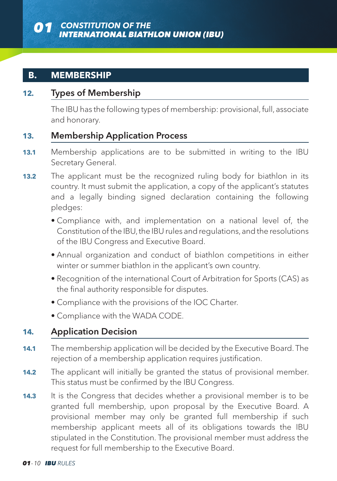#### **B. MEMBERSHIP**

#### **12.** Types of Membership

The IBU has the following types of membership: provisional, full, associate and honorary.

#### **13.** Membership Application Process

- **13.1** Membership applications are to be submitted in writing to the IBU Secretary General.
- **13.2** The applicant must be the recognized ruling body for biathlon in its country. It must submit the application, a copy of the applicant's statutes and a legally binding signed declaration containing the following pledges:
	- Compliance with, and implementation on a national level of, the Constitution of the IBU, the IBU rules and regulations, and the resolutions of the IBU Congress and Executive Board.
	- Annual organization and conduct of biathlon competitions in either winter or summer biathlon in the applicant's own country.
	- Recognition of the international Court of Arbitration for Sports (CAS) as the final authority responsible for disputes.
	- Compliance with the provisions of the IOC Charter.
	- Compliance with the WADA CODE.

#### **14.** Application Decision

- **14.1** The membership application will be decided by the Executive Board. The rejection of a membership application requires justification.
- **14.2** The applicant will initially be granted the status of provisional member. This status must be confirmed by the IBU Congress.
- **14.3** It is the Congress that decides whether a provisional member is to be granted full membership, upon proposal by the Executive Board. A provisional member may only be granted full membership if such membership applicant meets all of its obligations towards the IBU stipulated in the Constitution. The provisional member must address the request for full membership to the Executive Board.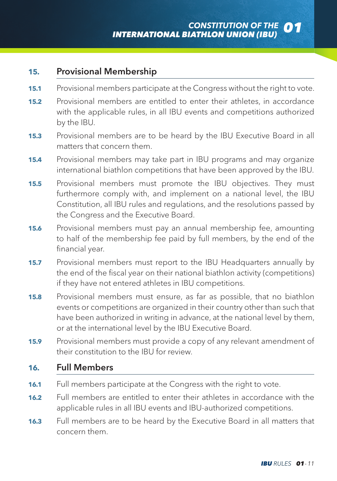#### **15.** Provisional Membership

- **15.1** Provisional members participate at the Congress without the right to vote.
- **15.2** Provisional members are entitled to enter their athletes, in accordance with the applicable rules, in all IBU events and competitions authorized by the IBU.
- **15.3** Provisional members are to be heard by the IBU Executive Board in all matters that concern them.
- **15.4** Provisional members may take part in IBU programs and may organize international biathlon competitions that have been approved by the IBU.
- **15.5** Provisional members must promote the IBU objectives. They must furthermore comply with, and implement on a national level, the IBU Constitution, all IBU rules and regulations, and the resolutions passed by the Congress and the Executive Board.
- **15.6** Provisional members must pay an annual membership fee, amounting to half of the membership fee paid by full members, by the end of the financial year.
- **15.7** Provisional members must report to the IBU Headquarters annually by the end of the fiscal year on their national biathlon activity (competitions) if they have not entered athletes in IBU competitions.
- **15.8** Provisional members must ensure, as far as possible, that no biathlon events or competitions are organized in their country other than such that have been authorized in writing in advance, at the national level by them, or at the international level by the IBU Executive Board.
- **15.9** Provisional members must provide a copy of any relevant amendment of their constitution to the IBU for review.

#### **16.** Full Members

- **16.1** Full members participate at the Congress with the right to vote.
- **16.2** Full members are entitled to enter their athletes in accordance with the applicable rules in all IBU events and IBU-authorized competitions.
- **16.3** Full members are to be heard by the Executive Board in all matters that concern them.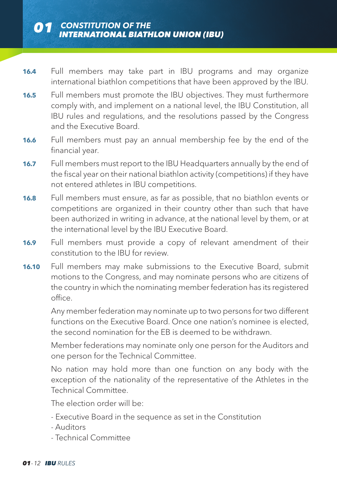- **16.4** Full members may take part in IBU programs and may organize international biathlon competitions that have been approved by the IBU.
- **16.5** Full members must promote the IBU objectives. They must furthermore comply with, and implement on a national level, the IBU Constitution, all IBU rules and regulations, and the resolutions passed by the Congress and the Executive Board.
- **16.6** Full members must pay an annual membership fee by the end of the financial year.
- **16.7** Full members must report to the IBU Headquarters annually by the end of the fiscal year on their national biathlon activity (competitions) if they have not entered athletes in IBU competitions.
- **16.8** Full members must ensure, as far as possible, that no biathlon events or competitions are organized in their country other than such that have been authorized in writing in advance, at the national level by them, or at the international level by the IBU Executive Board.
- **16.9** Full members must provide a copy of relevant amendment of their constitution to the IBU for review.
- **16.10** Full members may make submissions to the Executive Board, submit motions to the Congress, and may nominate persons who are citizens of the country in which the nominating member federation has its registered office.

Any member federation may nominate up to two persons for two different functions on the Executive Board. Once one nation's nominee is elected, the second nomination for the EB is deemed to be withdrawn.

Member federations may nominate only one person for the Auditors and one person for the Technical Committee.

No nation may hold more than one function on any body with the exception of the nationality of the representative of the Athletes in the Technical Committee.

The election order will be:

- Executive Board in the sequence as set in the Constitution
- Auditors
- Technical Committee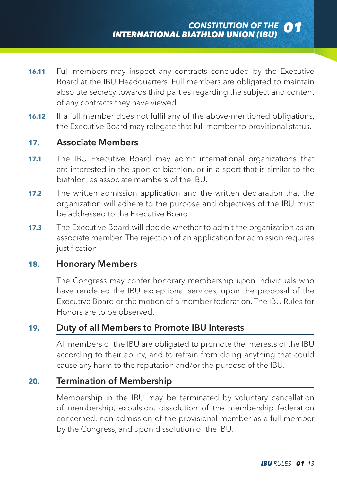- **16.11** Full members may inspect any contracts concluded by the Executive Board at the IBU Headquarters. Full members are obligated to maintain absolute secrecy towards third parties regarding the subject and content of any contracts they have viewed.
- **16.12** If a full member does not fulfil any of the above-mentioned obligations, the Executive Board may relegate that full member to provisional status.

#### **17.** Associate Members

- **17.1** The IBU Executive Board may admit international organizations that are interested in the sport of biathlon, or in a sport that is similar to the biathlon, as associate members of the IBU.
- **17.2** The written admission application and the written declaration that the organization will adhere to the purpose and objectives of the IBU must be addressed to the Executive Board.
- **17.3** The Executive Board will decide whether to admit the organization as an associate member. The rejection of an application for admission requires justification.

#### **18.** Honorary Members

The Congress may confer honorary membership upon individuals who have rendered the IBU exceptional services, upon the proposal of the Executive Board or the motion of a member federation. The IBU Rules for Honors are to be observed.

#### **19.** Duty of all Members to Promote IBU Interests

All members of the IBU are obligated to promote the interests of the IBU according to their ability, and to refrain from doing anything that could cause any harm to the reputation and/or the purpose of the IBU.

#### **20.** Termination of Membership

Membership in the IBU may be terminated by voluntary cancellation of membership, expulsion, dissolution of the membership federation concerned, non-admission of the provisional member as a full member by the Congress, and upon dissolution of the IBU.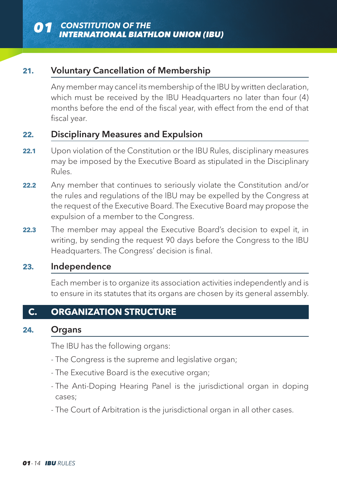#### **21.** Voluntary Cancellation of Membership

Any member may cancel its membership of the IBU by written declaration, which must be received by the IBU Headquarters no later than four (4) months before the end of the fiscal year, with effect from the end of that fiscal year.

#### **22.** Disciplinary Measures and Expulsion

- **22.1** Upon violation of the Constitution or the IBU Rules, disciplinary measures may be imposed by the Executive Board as stipulated in the Disciplinary Rules.
- **22.2** Any member that continues to seriously violate the Constitution and/or the rules and regulations of the IBU may be expelled by the Congress at the request of the Executive Board. The Executive Board may propose the expulsion of a member to the Congress.
- **22.3** The member may appeal the Executive Board's decision to expel it, in writing, by sending the request 90 days before the Congress to the IBU Headquarters. The Congress' decision is final.

#### **23.** Independence

Each member is to organize its association activities independently and is to ensure in its statutes that its organs are chosen by its general assembly.

#### **C. ORGANIZATION STRUCTURE**

#### **24.** Organs

The IBU has the following organs:

- The Congress is the supreme and legislative organ;
- The Executive Board is the executive organ;
- The Anti-Doping Hearing Panel is the jurisdictional organ in doping cases;
- The Court of Arbitration is the jurisdictional organ in all other cases.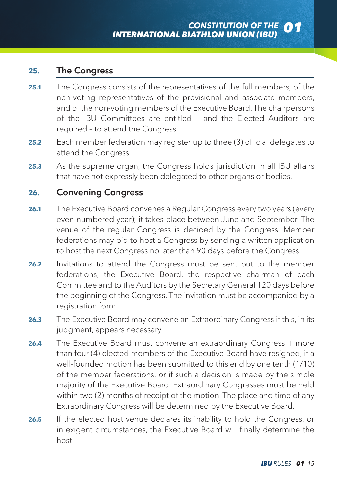#### **25.** The Congress

- **25.1** The Congress consists of the representatives of the full members, of the non-voting representatives of the provisional and associate members, and of the non-voting members of the Executive Board. The chairpersons of the IBU Committees are entitled – and the Elected Auditors are required – to attend the Congress.
- **25.2** Each member federation may register up to three (3) official delegates to attend the Congress.
- **25.3** As the supreme organ, the Congress holds jurisdiction in all IBU affairs that have not expressly been delegated to other organs or bodies.

#### **26.** Convening Congress

- **26.1** The Executive Board convenes a Regular Congress every two years (every even-numbered year); it takes place between June and September. The venue of the regular Congress is decided by the Congress. Member federations may bid to host a Congress by sending a written application to host the next Congress no later than 90 days before the Congress.
- **26.2** Invitations to attend the Congress must be sent out to the member federations, the Executive Board, the respective chairman of each Committee and to the Auditors by the Secretary General 120 days before the beginning of the Congress. The invitation must be accompanied by a registration form.
- **26.3** The Executive Board may convene an Extraordinary Congress if this, in its judgment, appears necessary.
- **26.4** The Executive Board must convene an extraordinary Congress if more than four (4) elected members of the Executive Board have resigned, if a well-founded motion has been submitted to this end by one tenth (1/10) of the member federations, or if such a decision is made by the simple majority of the Executive Board. Extraordinary Congresses must be held within two (2) months of receipt of the motion. The place and time of any Extraordinary Congress will be determined by the Executive Board.
- **26.5** If the elected host venue declares its inability to hold the Congress, or in exigent circumstances, the Executive Board will finally determine the host.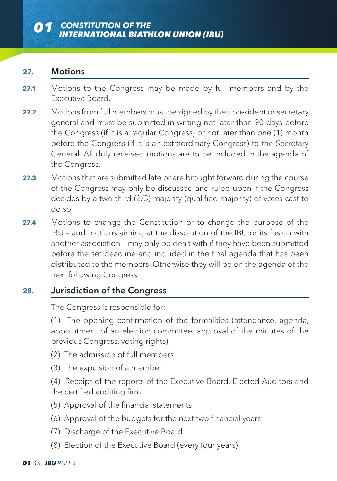#### **27.** Motions

- 27.1 Motions to the Congress may be made by full members and by the Executive Board.
- **27.2** Motions from full members must be signed by their president or secretary general and must be submitted in writing not later than 90 days before the Congress (if it is a regular Congress) or not later than one (1) month before the Congress (if it is an extraordinary Congress) to the Secretary General. All duly received motions are to be included in the agenda of the Congress.
- **27.3** Motions that are submitted late or are brought forward during the course of the Congress may only be discussed and ruled upon if the Congress decides by a two third (2/3) majority (qualified majority) of votes cast to do so.
- **27.4** Motions to change the Constitution or to change the purpose of the IBU – and motions aiming at the dissolution of the IBU or its fusion with another association – may only be dealt with if they have been submitted before the set deadline and included in the final agenda that has been distributed to the members. Otherwise they will be on the agenda of the next following Congress.

#### **28.** Jurisdiction of the Congress

The Congress is responsible for:

(1) The opening confirmation of the formalities (attendance, agenda, appointment of an election committee, approval of the minutes of the previous Congress, voting rights)

- (2) The admission of full members
- (3) The expulsion of a member

(4) Receipt of the reports of the Executive Board, Elected Auditors and the certified auditing firm

- (5) Approval of the financial statements
- (6) Approval of the budgets for the next two financial years
- (7) Discharge of the Executive Board
- (8) Election of the Executive Board (every four years)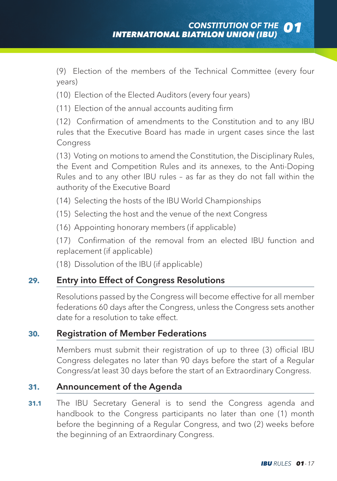(9) Election of the members of the Technical Committee (every four years)

- (10) Election of the Elected Auditors (every four years)
- (11) Election of the annual accounts auditing firm

(12) Confirmation of amendments to the Constitution and to any IBU rules that the Executive Board has made in urgent cases since the last Congress

(13) Voting on motions to amend the Constitution, the Disciplinary Rules, the Event and Competition Rules and its annexes, to the Anti-Doping Rules and to any other IBU rules – as far as they do not fall within the authority of the Executive Board

- (14) Selecting the hosts of the IBU World Championships
- (15) Selecting the host and the venue of the next Congress
- (16) Appointing honorary members (if applicable)

(17) Confirmation of the removal from an elected IBU function and replacement (if applicable)

(18) Dissolution of the IBU (if applicable)

#### **29.** Entry into Effect of Congress Resolutions

Resolutions passed by the Congress will become effective for all member federations 60 days after the Congress, unless the Congress sets another date for a resolution to take effect.

#### **30.** Registration of Member Federations

Members must submit their registration of up to three (3) official IBU Congress delegates no later than 90 days before the start of a Regular Congress/at least 30 days before the start of an Extraordinary Congress.

#### **31.** Announcement of the Agenda

**31.1** The IBU Secretary General is to send the Congress agenda and handbook to the Congress participants no later than one (1) month before the beginning of a Regular Congress, and two (2) weeks before the beginning of an Extraordinary Congress.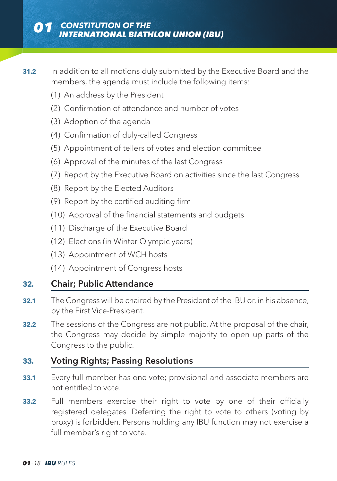- **31.2** In addition to all motions duly submitted by the Executive Board and the members, the agenda must include the following items:
	- (1) An address by the President
	- (2) Confirmation of attendance and number of votes
	- (3) Adoption of the agenda
	- (4) Confirmation of duly-called Congress
	- (5) Appointment of tellers of votes and election committee
	- (6) Approval of the minutes of the last Congress
	- (7) Report by the Executive Board on activities since the last Congress
	- (8) Report by the Elected Auditors
	- (9) Report by the certified auditing firm
	- (10) Approval of the financial statements and budgets
	- (11) Discharge of the Executive Board
	- (12) Elections (in Winter Olympic years)
	- (13) Appointment of WCH hosts
	- (14) Appointment of Congress hosts

#### **32.** Chair; Public Attendance

- **32.1** The Congress will be chaired by the President of the IBU or, in his absence, by the First Vice-President.
- **32.2** The sessions of the Congress are not public. At the proposal of the chair, the Congress may decide by simple majority to open up parts of the Congress to the public.

#### **33.** Voting Rights; Passing Resolutions

- **33.1** Every full member has one vote; provisional and associate members are not entitled to vote.
- **33.2** Full members exercise their right to vote by one of their officially registered delegates. Deferring the right to vote to others (voting by proxy) is forbidden. Persons holding any IBU function may not exercise a full member's right to vote.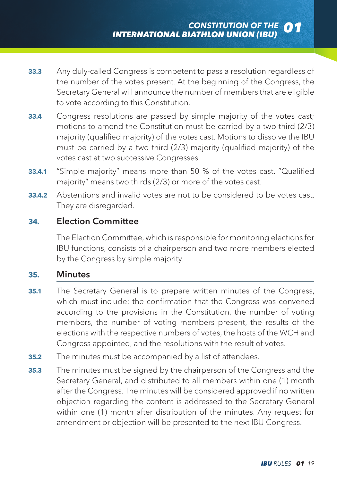- **33.3** Any duly-called Congress is competent to pass a resolution regardless of the number of the votes present. At the beginning of the Congress, the Secretary General will announce the number of members that are eligible to vote according to this Constitution.
- **33.4** Congress resolutions are passed by simple majority of the votes cast; motions to amend the Constitution must be carried by a two third (2/3) majority (qualified majority) of the votes cast. Motions to dissolve the IBU must be carried by a two third (2/3) majority (qualified majority) of the votes cast at two successive Congresses.
- **33.4.1** "Simple majority" means more than 50 % of the votes cast. "Qualified majority" means two thirds (2/3) or more of the votes cast.
- **33.4.2** Abstentions and invalid votes are not to be considered to be votes cast. They are disregarded.

#### **34.** Election Committee

The Election Committee, which is responsible for monitoring elections for IBU functions, consists of a chairperson and two more members elected by the Congress by simple majority.

#### **35.** Minutes

- **35.1** The Secretary General is to prepare written minutes of the Congress, which must include: the confirmation that the Congress was convened according to the provisions in the Constitution, the number of voting members, the number of voting members present, the results of the elections with the respective numbers of votes, the hosts of the WCH and Congress appointed, and the resolutions with the result of votes.
- **35.2** The minutes must be accompanied by a list of attendees.
- **35.3** The minutes must be signed by the chairperson of the Congress and the Secretary General, and distributed to all members within one (1) month after the Congress. The minutes will be considered approved if no written objection regarding the content is addressed to the Secretary General within one (1) month after distribution of the minutes. Any request for amendment or objection will be presented to the next IBU Congress.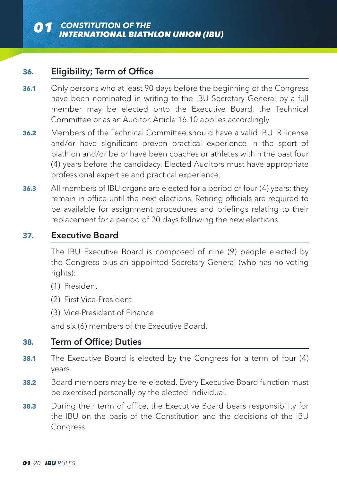#### **36.** Eligibility; Term of Office

- **36.1** Only persons who at least 90 days before the beginning of the Congress have been nominated in writing to the IBU Secretary General by a full member may be elected onto the Executive Board, the Technical Committee or as an Auditor. Article 16.10 applies accordingly.
- **36.2** Members of the Technical Committee should have a valid IBU IR license and/or have significant proven practical experience in the sport of biathlon and/or be or have been coaches or athletes within the past four (4) years before the candidacy. Elected Auditors must have appropriate professional expertise and practical experience.
- **36.3** All members of IBU organs are elected for a period of four (4) years; they remain in office until the next elections. Retiring officials are required to be available for assignment procedures and briefings relating to their replacement for a period of 20 days following the new elections.

#### **37.** Executive Board

The IBU Executive Board is composed of nine (9) people elected by the Congress plus an appointed Secretary General (who has no voting rights):

- (1) President
- (2) First Vice-President
- (3) Vice-President of Finance

and six (6) members of the Executive Board.

#### **38.** Term of Office; Duties

- **38.1** The Executive Board is elected by the Congress for a term of four (4) years.
- **38.2** Board members may be re-elected. Every Executive Board function must be exercised personally by the elected individual.
- **38.3** During their term of office, the Executive Board bears responsibility for the IBU on the basis of the Constitution and the decisions of the IBU Congress.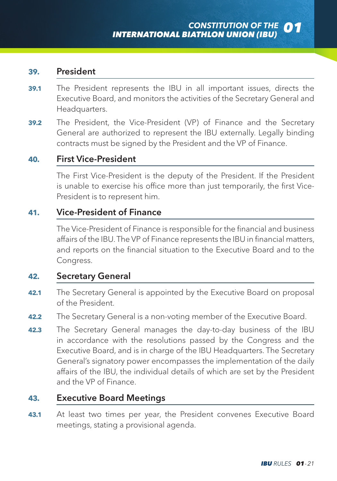#### **39.** President

- **39.1** The President represents the IBU in all important issues, directs the Executive Board, and monitors the activities of the Secretary General and Headquarters.
- **39.2** The President, the Vice-President (VP) of Finance and the Secretary General are authorized to represent the IBU externally. Legally binding contracts must be signed by the President and the VP of Finance.

#### **40.** First Vice-President

The First Vice-President is the deputy of the President. If the President is unable to exercise his office more than just temporarily, the first Vice-President is to represent him.

#### **41.** Vice-President of Finance

The Vice-President of Finance is responsible for the financial and business affairs of the IBU. The VP of Finance represents the IBU in financial matters, and reports on the financial situation to the Executive Board and to the Congress.

#### **42.** Secretary General

- **42.1** The Secretary General is appointed by the Executive Board on proposal of the President.
- **42.2** The Secretary General is a non-voting member of the Executive Board.
- **42.3** The Secretary General manages the day-to-day business of the IBU in accordance with the resolutions passed by the Congress and the Executive Board, and is in charge of the IBU Headquarters. The Secretary General's signatory power encompasses the implementation of the daily affairs of the IBU, the individual details of which are set by the President and the VP of Finance.

#### **43.** Executive Board Meetings

**43.1** At least two times per year, the President convenes Executive Board meetings, stating a provisional agenda.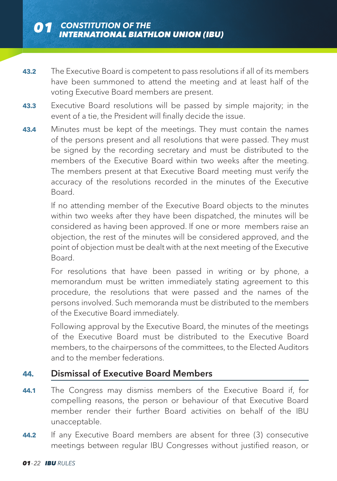- **43.2** The Executive Board is competent to pass resolutions if all of its members have been summoned to attend the meeting and at least half of the voting Executive Board members are present.
- **43.3** Executive Board resolutions will be passed by simple majority; in the event of a tie, the President will finally decide the issue.
- **43.4** Minutes must be kept of the meetings. They must contain the names of the persons present and all resolutions that were passed. They must be signed by the recording secretary and must be distributed to the members of the Executive Board within two weeks after the meeting. The members present at that Executive Board meeting must verify the accuracy of the resolutions recorded in the minutes of the Executive Board.

If no attending member of the Executive Board objects to the minutes within two weeks after they have been dispatched, the minutes will be considered as having been approved. If one or more members raise an objection, the rest of the minutes will be considered approved, and the point of objection must be dealt with at the next meeting of the Executive Board.

For resolutions that have been passed in writing or by phone, a memorandum must be written immediately stating agreement to this procedure, the resolutions that were passed and the names of the persons involved. Such memoranda must be distributed to the members of the Executive Board immediately.

Following approval by the Executive Board, the minutes of the meetings of the Executive Board must be distributed to the Executive Board members, to the chairpersons of the committees, to the Elected Auditors and to the member federations.

#### **44.** Dismissal of Executive Board Members

- **44.1** The Congress may dismiss members of the Executive Board if, for compelling reasons, the person or behaviour of that Executive Board member render their further Board activities on behalf of the IBU unacceptable.
- **44.2** If any Executive Board members are absent for three (3) consecutive meetings between regular IBU Congresses without justified reason, or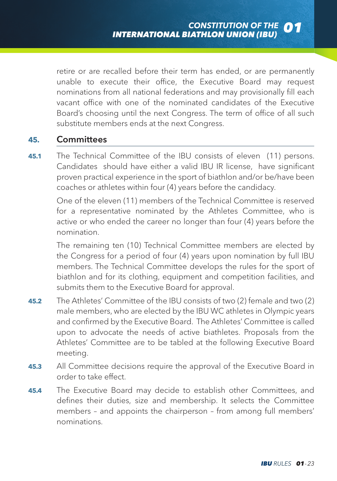retire or are recalled before their term has ended, or are permanently unable to execute their office, the Executive Board may request nominations from all national federations and may provisionally fill each vacant office with one of the nominated candidates of the Executive Board's choosing until the next Congress. The term of office of all such substitute members ends at the next Congress.

#### **45.** Committees

**45.1** The Technical Committee of the IBU consists of eleven (11) persons. Candidates should have either a valid IBU IR license, have significant proven practical experience in the sport of biathlon and/or be/have been coaches or athletes within four (4) years before the candidacy.

One of the eleven (11) members of the Technical Committee is reserved for a representative nominated by the Athletes Committee, who is active or who ended the career no longer than four (4) years before the nomination.

The remaining ten (10) Technical Committee members are elected by the Congress for a period of four (4) years upon nomination by full IBU members. The Technical Committee develops the rules for the sport of biathlon and for its clothing, equipment and competition facilities, and submits them to the Executive Board for approval.

- **45.2** The Athletes' Committee of the IBU consists of two (2) female and two (2) male members, who are elected by the IBU WC athletes in Olympic years and confirmed by the Executive Board. The Athletes' Committee is called upon to advocate the needs of active biathletes. Proposals from the Athletes' Committee are to be tabled at the following Executive Board meeting.
- **45.3** All Committee decisions require the approval of the Executive Board in order to take effect.
- **45.4** The Executive Board may decide to establish other Committees, and defines their duties, size and membership. It selects the Committee members – and appoints the chairperson – from among full members' nominations.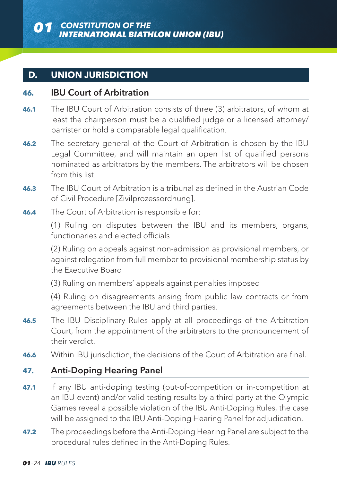#### **D. UNION JURISDICTION**

#### **46.** IBU Court of Arbitration

- **46.1** The IBU Court of Arbitration consists of three (3) arbitrators, of whom at least the chairperson must be a qualified judge or a licensed attorney/ barrister or hold a comparable legal qualification.
- **46.2** The secretary general of the Court of Arbitration is chosen by the IBU Legal Committee, and will maintain an open list of qualified persons nominated as arbitrators by the members. The arbitrators will be chosen from this list.
- **46.3** The IBU Court of Arbitration is a tribunal as defined in the Austrian Code of Civil Procedure [Zivilprozessordnung].
- **46.4** The Court of Arbitration is responsible for:

(1) Ruling on disputes between the IBU and its members, organs, functionaries and elected officials

(2) Ruling on appeals against non-admission as provisional members, or against relegation from full member to provisional membership status by the Executive Board

(3) Ruling on members' appeals against penalties imposed

(4) Ruling on disagreements arising from public law contracts or from agreements between the IBU and third parties.

- **46.5** The IBU Disciplinary Rules apply at all proceedings of the Arbitration Court, from the appointment of the arbitrators to the pronouncement of their verdict.
- **46.6** Within IBU jurisdiction, the decisions of the Court of Arbitration are final.

#### **47.** Anti-Doping Hearing Panel

- **47.1** If any IBU anti-doping testing (out-of-competition or in-competition at an IBU event) and/or valid testing results by a third party at the Olympic Games reveal a possible violation of the IBU Anti-Doping Rules, the case will be assigned to the IBU Anti-Doping Hearing Panel for adjudication.
- **47.2** The proceedings before the Anti-Doping Hearing Panel are subject to the procedural rules defined in the Anti-Doping Rules.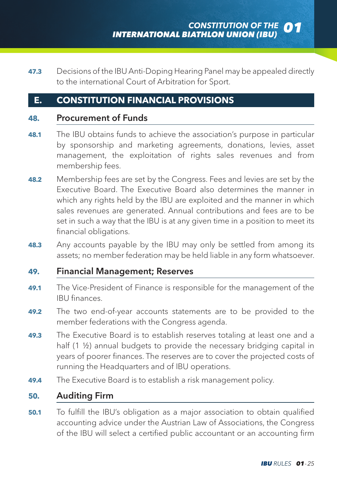**47.3** Decisions of the IBU Anti-Doping Hearing Panel may be appealed directly to the international Court of Arbitration for Sport.

#### **E. CONSTITUTION FINANCIAL PROVISIONS**

#### **48.** Procurement of Funds

- **48.1** The IBU obtains funds to achieve the association's purpose in particular by sponsorship and marketing agreements, donations, levies, asset management, the exploitation of rights sales revenues and from membership fees.
- **48.2** Membership fees are set by the Congress. Fees and levies are set by the Executive Board. The Executive Board also determines the manner in which any rights held by the IBU are exploited and the manner in which sales revenues are generated. Annual contributions and fees are to be set in such a way that the IBU is at any given time in a position to meet its financial obligations.
- **48.3** Any accounts payable by the IBU may only be settled from among its assets; no member federation may be held liable in any form whatsoever.

#### **49.** Financial Management; Reserves

- **49.1** The Vice-President of Finance is responsible for the management of the IBU finances.
- **49.2** The two end-of-year accounts statements are to be provided to the member federations with the Congress agenda.
- **49.3** The Executive Board is to establish reserves totaling at least one and a half (1 ½) annual budgets to provide the necessary bridging capital in years of poorer finances. The reserves are to cover the projected costs of running the Headquarters and of IBU operations.
- **49.4** The Executive Board is to establish a risk management policy.

#### **50.** Auditing Firm

**50.1** To fulfill the IBU's obligation as a major association to obtain qualified accounting advice under the Austrian Law of Associations, the Congress of the IBU will select a certified public accountant or an accounting firm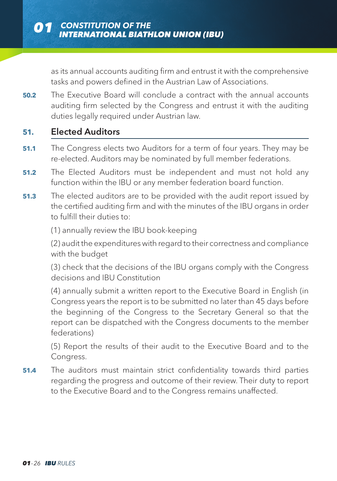as its annual accounts auditing firm and entrust it with the comprehensive tasks and powers defined in the Austrian Law of Associations.

**50.2** The Executive Board will conclude a contract with the annual accounts auditing firm selected by the Congress and entrust it with the auditing duties legally required under Austrian law.

#### **51.** Elected Auditors

- **51.1** The Congress elects two Auditors for a term of four years. They may be re-elected. Auditors may be nominated by full member federations.
- **51.2** The Elected Auditors must be independent and must not hold any function within the IBU or any member federation board function.
- **51.3** The elected auditors are to be provided with the audit report issued by the certified auditing firm and with the minutes of the IBU organs in order to fulfill their duties to:

(1) annually review the IBU book-keeping

(2) audit the expenditures with regard to their correctness and compliance with the budget

(3) check that the decisions of the IBU organs comply with the Congress decisions and IBU Constitution

(4) annually submit a written report to the Executive Board in English (in Congress years the report is to be submitted no later than 45 days before the beginning of the Congress to the Secretary General so that the report can be dispatched with the Congress documents to the member federations)

(5) Report the results of their audit to the Executive Board and to the Congress.

**51.4** The auditors must maintain strict confidentiality towards third parties regarding the progress and outcome of their review. Their duty to report to the Executive Board and to the Congress remains unaffected.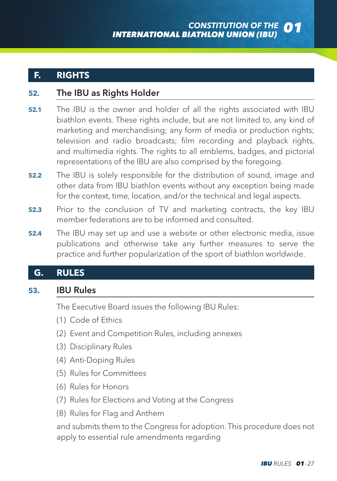#### **F. RIGHTS**

#### **52.** The IBU as Rights Holder

- **52.1** The IBU is the owner and holder of all the rights associated with IBU biathlon events. These rights include, but are not limited to, any kind of marketing and merchandising; any form of media or production rights; television and radio broadcasts; film recording and playback rights, and multimedia rights. The rights to all emblems, badges, and pictorial representations of the IBU are also comprised by the foregoing.
- **52.2** The IBU is solely responsible for the distribution of sound, image and other data from IBU biathlon events without any exception being made for the context, time, location, and/or the technical and legal aspects.
- **52.3** Prior to the conclusion of TV and marketing contracts, the key IBU member federations are to be informed and consulted.
- **52.4** The IBU may set up and use a website or other electronic media, issue publications and otherwise take any further measures to serve the practice and further popularization of the sport of biathlon worldwide.

#### **G. RULES**

#### **53.** IBU Rules

The Executive Board issues the following IBU Rules:

- (1) Code of Ethics
- (2) Event and Competition Rules, including annexes
- (3) Disciplinary Rules
- (4) Anti-Doping Rules
- (5) Rules for Committees
- (6) Rules for Honors
- (7) Rules for Elections and Voting at the Congress
- (8) Rules for Flag and Anthem

and submits them to the Congress for adoption. This procedure does not apply to essential rule amendments regarding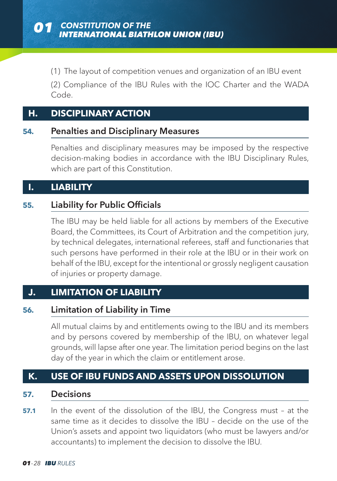(1) The layout of competition venues and organization of an IBU event

(2) Compliance of the IBU Rules with the IOC Charter and the WADA Code.

#### **H. DISCIPLINARY ACTION**

#### **54.** Penalties and Disciplinary Measures

Penalties and disciplinary measures may be imposed by the respective decision-making bodies in accordance with the IBU Disciplinary Rules, which are part of this Constitution.

#### **I. LIABILITY**

#### **55.** Liability for Public Officials

The IBU may be held liable for all actions by members of the Executive Board, the Committees, its Court of Arbitration and the competition jury, by technical delegates, international referees, staff and functionaries that such persons have performed in their role at the IBU or in their work on behalf of the IBU, except for the intentional or grossly negligent causation of injuries or property damage.

#### **J. LIMITATION OF LIABILITY**

#### **56.** Limitation of Liability in Time

All mutual claims by and entitlements owing to the IBU and its members and by persons covered by membership of the IBU, on whatever legal grounds, will lapse after one year. The limitation period begins on the last day of the year in which the claim or entitlement arose.

#### **K. USE OF IBU FUNDS AND ASSETS UPON DISSOLUTION**

#### **57.** Decisions

**57.1** In the event of the dissolution of the IBU, the Congress must - at the same time as it decides to dissolve the IBU – decide on the use of the Union's assets and appoint two liquidators (who must be lawyers and/or accountants) to implement the decision to dissolve the IBU.